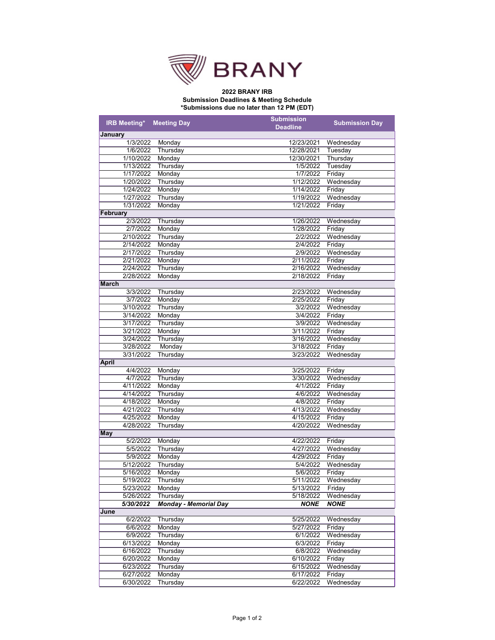

## **\*Submissions due no later than 12 PM (EDT) Submission Deadlines & Meeting Schedule 2022 BRANY IRB**

۰

| <b>IRB Meeting*</b>  | <b>Meeting Day</b>           | <b>Submission</b><br><b>Deadline</b> | <b>Submission Day</b> |
|----------------------|------------------------------|--------------------------------------|-----------------------|
| January              |                              |                                      |                       |
| 1/3/2022             | Monday                       | 12/23/2021                           | Wednesday             |
| 1/6/2022             | Thursday                     | 12/28/2021                           | Tuesday               |
| 1/10/2022            | Monday                       | 12/30/2021                           | Thursday              |
| 1/13/2022            | Thursday                     | 1/5/2022                             | Tuesday               |
| 1/17/2022            | Monday                       | 1/7/2022                             | Friday                |
| 1/20/2022            | Thursday                     | 1/12/2022                            | Wednesday             |
| 1/24/2022            | Monday                       | 1/14/2022                            | Friday                |
| 1/27/2022            | Thursday                     | 1/19/2022                            | Wednesday             |
| 1/31/2022            | Monday                       | 1/21/2022                            | Friday                |
| February             |                              |                                      |                       |
| 2/3/2022             | Thursday                     | 1/26/2022                            | Wednesday             |
| 2/7/2022             | Monday                       | 1/28/2022                            | Friday                |
| 2/10/2022            | Thursday                     | 2/2/2022                             | Wednesday             |
| 2/14/2022            | Monday                       | 2/4/2022                             | Friday                |
| 2/17/2022            | Thursday                     | 2/9/2022                             | Wednesday             |
| 2/21/2022            | Monday                       | 2/11/2022                            | Friday                |
| 2/24/2022            | Thursday                     | 2/16/2022                            | Wednesday             |
| 2/28/2022            | Monday                       | 2/18/2022                            | Friday                |
| <b>March</b>         |                              |                                      |                       |
| 3/3/2022             | Thursday                     | 2/23/2022                            | Wednesday             |
| 3/7/2022             | Monday                       | 2/25/2022                            | Friday                |
| 3/10/2022            | Thursday                     | 3/2/2022                             | Wednesday             |
| 3/14/2022            | Monday                       | 3/4/2022                             | Friday                |
| 3/17/2022            | Thursday                     | 3/9/2022                             | Wednesday             |
| 3/21/2022            | Monday                       | 3/11/2022                            | Friday                |
| 3/24/2022            | Thursday                     | 3/16/2022                            | Wednesday             |
| 3/28/2022            | Monday                       | 3/18/2022                            | Friday                |
| 3/31/2022            | Thursday                     | 3/23/2022                            | Wednesday             |
| <b>April</b>         |                              |                                      |                       |
| 4/4/2022<br>4/7/2022 | Monday                       | 3/25/2022<br>3/30/2022               | Friday<br>Wednesday   |
| 4/11/2022            | Thursday                     | 4/1/2022                             |                       |
| 4/14/2022            | Monday<br>Thursday           | 4/6/2022                             | Friday<br>Wednesday   |
| 4/18/2022            | Monday                       | 4/8/2022                             | Friday                |
| 4/21/2022            | Thursday                     | $\sqrt{4/13/2022}$                   | Wednesday             |
| 4/25/2022            | Monday                       | 4/15/2022                            | Friday                |
| 4/28/2022            | Thursday                     | 4/20/2022                            | Wednesday             |
| <b>May</b>           |                              |                                      |                       |
| 5/2/2022             | Monday                       | 4/22/2022                            | Friday                |
| 5/5/2022             | Thursday                     | 4/27/2022                            | Wednesday             |
| 5/9/2022             | Monday                       | 4/29/2022                            | Friday                |
| 5/12/2022            | Thursday                     | 5/4/2022                             | Wednesday             |
| 5/16/2022            | Monday                       | 5/6/2022                             | Friday                |
| 5/19/2022            | Thursday                     | 5/11/2022                            | Wednesday             |
| 5/23/2022            | Monday                       | 5/13/2022                            | Friday                |
| 5/26/2022            | Thursday                     | 5/18/2022                            | Wednesday             |
| 5/30/2022            | <b>Monday - Memorial Day</b> | <b>NONE</b>                          | <b>NONE</b>           |
| June                 |                              |                                      |                       |
| 6/2/2022             | Thursday                     | 5/25/2022                            | Wednesday             |
| 6/6/2022             | Monday                       | 5/27/2022                            | Friday                |
| 6/9/2022             | Thursday                     | 6/1/2022                             | Wednesday             |
| 6/13/2022            | Monday                       | 6/3/2022                             | Friday                |
| 6/16/2022            | Thursday                     | 6/8/2022                             | Wednesday             |
| 6/20/2022            | Monday                       | 6/10/2022                            | Friday                |
| 6/23/2022            | Thursday                     | 6/15/2022                            | Wednesday             |
| 6/27/2022            | Monday                       | 6/17/2022                            | Friday                |
| 6/30/2022            | Thursday                     | 6/22/2022                            | Wednesday             |